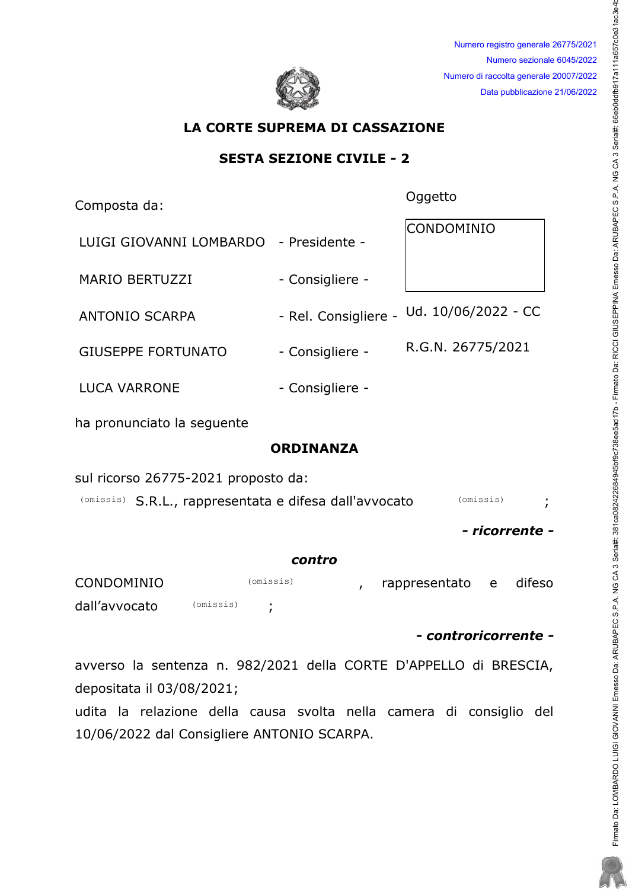

Numero registro generale 26775/2021 Numero sezionale 6045/2022 Numero di raccolta generale 20007/2022 Data pubblicazione 21/06/2022

# LA CORTE SUPREMA DI CASSAZIONE

## SESTA SEZIONE CIVILE - 2

Composta da: et al. et al. et al. et al. et al. et al. et al. et al. et al. et al. et al. et al. et al. et al. e

| LUIGI GIOVANNI LOMBARDO - Presidente - |                 | <b>CONDOMINIO</b>                        |
|----------------------------------------|-----------------|------------------------------------------|
| <b>MARIO BERTUZZI</b>                  | - Consigliere - |                                          |
| <b>ANTONIO SCARPA</b>                  |                 | - Rel. Consigliere - Ud. 10/06/2022 - CC |
| <b>GIUSEPPE FORTUNATO</b>              | - Consigliere - | R.G.N. 26775/2021                        |
| <b>LUCA VARRONE</b>                    | - Consigliere - |                                          |

ha pronunciato la sequente

# ORDINANZA

sul ricorso 26775-2021 proposto da:

(omissis) S.R.L., rappresentata e difesa dall'avvocato (omissis) ;

- ricorrente -

#### contro

| CONDOMINIO    |           | (omissis) |  | rappresentato e | difeso |
|---------------|-----------|-----------|--|-----------------|--------|
| dall'avvocato | (omissis) |           |  |                 |        |

- controricorrente -

avverso la sentenza n. 982/2021 della CORTE D'APPELLO di BRESCIA, depositata il 03/08/2021;

udita la relazione della causa svolta nella camera di consiglio del 10/06/2022 dal Consigliere ANTONIO SCARPA.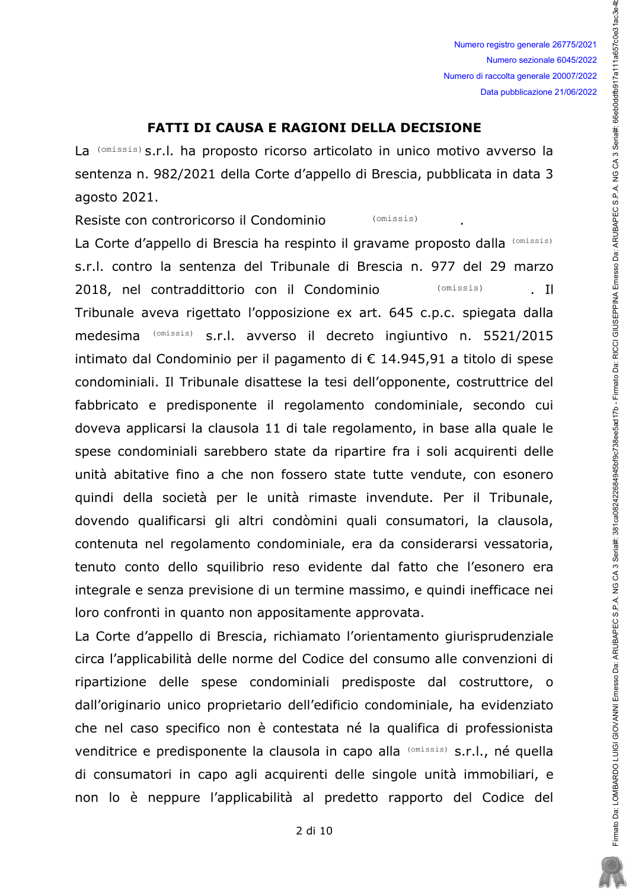Numero registro generale 26775/2021 Numero sezionale 6045/2022 Numero di raccolta generale 20007/2022 Data pubblicazione 21/06/2022

## **FATTI DI CAUSA E RAGIONI DELLA DECISIONE**

La (omissis) s.r.l. ha proposto ricorso articolato in unico motivo avverso la sentenza n. 982/2021 della Corte d'appello di Brescia, pubblicata in data 3 agosto 2021.

Resiste con controricorso il Condominio (omissis)

La Corte d'appello di Brescia ha respinto il gravame proposto dalla (Omissis) s.r.l. contro la sentenza del Tribunale di Brescia n. 977 del 29 marzo 2018, nel contraddittorio con il Condominio (omissis) - Il Tribunale aveva rigettato l'opposizione ex art. 645 c.p.c. spiegata dalla medesima (omissis) s.r.l. avverso il decreto ingiuntivo n. 5521/2015 intimato dal Condominio per il pagamento di € 14.945,91 a titolo di spese condominiali. Il Tribunale disattese la tesi dell'opponente, costruttrice del fabbricato e predisponente il regolamento condominiale, secondo cui doveva applicarsi la clausola 11 di tale regolamento, in base alla quale le spese condominiali sarebbero state da ripartire fra i soli acquirenti delle unità abitative fino a che non fossero state tutte vendute, con esonero quindi della società per le unità rimaste invendute. Per il Tribunale, dovendo qualificarsi gli altri condòmini quali consumatori, la clausola, contenuta nel regolamento condominiale, era da considerarsi vessatoria, tenuto conto dello squilibrio reso evidente dal fatto che l'esonero era integrale e senza previsione di un termine massimo, e quindi inefficace nei loro confronti in quanto non appositamente approvata.

La Corte d'appello di Brescia, richiamato l'orientamento giurisprudenziale circa l'applicabilità delle norme del Codice del consumo alle convenzioni di ripartizione delle spese condominiali predisposte dal costruttore, o dall'originario unico proprietario dell'edificio condominiale, ha evidenziato che nel caso specifico non è contestata né la qualifica di professionista venditrice e predisponente la clausola in capo alla (omissis) s.r.l., né quella di consumatori in capo agli acquirenti delle singole unità immobiliari, e non lo è neppure l'applicabilità al predetto rapporto del Codice del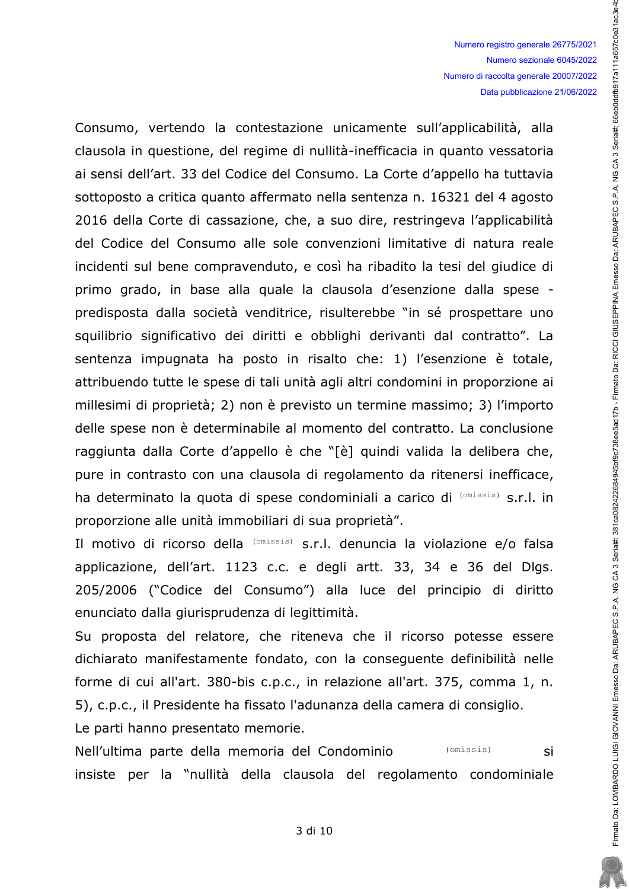Firmato Da: LOMBARDO LUIGI GIOVANNI Emesso Da: ARUBAPEC S.P.A. NG CA 3 Serial#, 381 ca082422684345bf9c32684345bf9c738ee5ad17b - Firmato Da: RICCI GIUSEPPINA Emesso Da: ARUBAPEC S.P.A. NG CA 3 Serial#: 66eb0ddfb917a111a657c

Consumo, vertendo la contestazione unicamente sull'applicabilità, alla clausola in questione, del regime di nullità-inefficacia in quanto vessatoria ai sensi dell'art. 33 del Codice del Consumo. La Corte d'appello ha tuttavia sottoposto a critica quanto affermato nella sentenza n. 16321 del 4 agosto 2016 della Corte di cassazione, che, a suo dire, restringeva l'applicabilità del Codice del Consumo alle sole convenzioni limitative di natura reale incidenti sul bene compravenduto, e così ha ribadito la tesi del giudice di primo grado, in base alla quale la clausola d'esenzione dalla spese predisposta dalla società venditrice, risulterebbe "in sé prospettare uno squilibrio significativo dei diritti e obblighi derivanti dal contratto". La sentenza impugnata ha posto in risalto che: 1) l'esenzione è totale, attribuendo tutte le spese di tali unità agli altri condomini in proporzione ai millesimi di proprietà; 2) non è previsto un termine massimo; 3) l'importo delle spese non è determinabile al momento del contratto. La conclusione raggiunta dalla Corte d'appello è che "[è] quindi valida la delibera che, pure in contrasto con una clausola di regolamento da ritenersi inefficace, ha determinato la quota di spese condominiali a carico di (omissis) s.r.l. in proporzione alle unità immobiliari di sua proprietà".

Il motivo di ricorso della (omissis) s.r.l. denuncia la violazione e/o falsa applicazione, dell'art. 1123 c.c. e degli artt. 33, 34 e 36 del Dlgs. 205/2006 ("Codice del Consumo") alla luce del principio di diritto enunciato dalla giurisprudenza di legittimità.

Su proposta del relatore, che riteneva che il ricorso potesse essere dichiarato manifestamente fondato, con la consequente definibilità nelle forme di cui all'art. 380-bis c.p.c., in relazione all'art. 375, comma 1, n. 5), c.p.c., il Presidente ha fissato l'adunanza della camera di consiglio.

Le parti hanno presentato memorie.

Nell'ultima parte della memoria del Condominio (omissis) si insiste per la "nullità della clausola del regolamento condominiale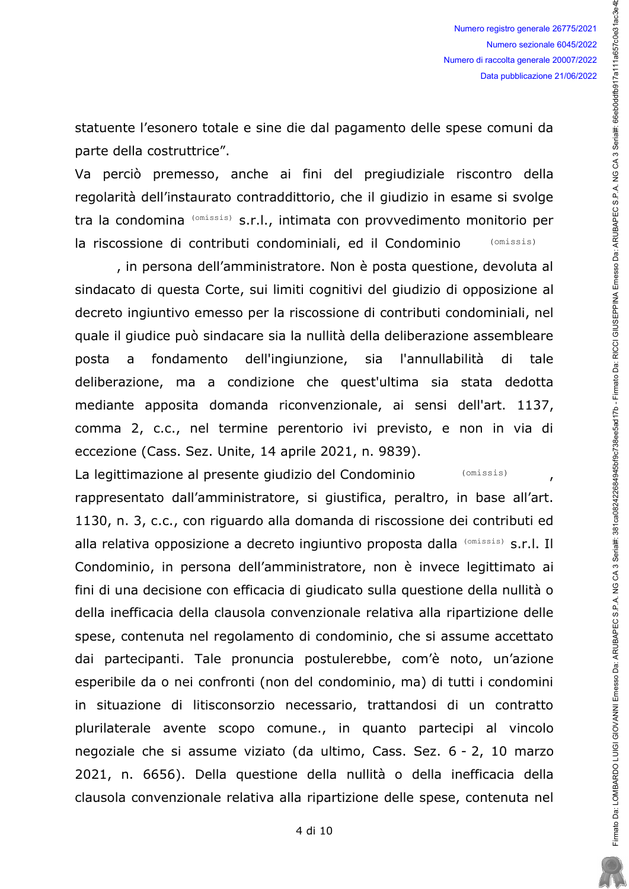statuente l'esonero totale e sine die dal pagamento delle spese comuni da parte della costruttrice".

Va perciò premesso, anche ai fini del pregiudiziale riscontro della regolarità dell'instaurato contraddittorio, che il giudizio in esame si svolge tra la condomina (omissis) s.r.l., intimata con provvedimento monitorio per la riscossione di contributi condominiali, ed il Condominio (omissis)

, in persona dell'amministratore. Non è posta questione, devoluta al sindacato di questa Corte, sui limiti cognitivi del giudizio di opposizione al decreto ingiuntivo emesso per la riscossione di contributi condominiali, nel quale il giudice può sindacare sia la nullità della deliberazione assembleare fondamento dell'ingiunzione, sia l'annullabilità di posta  $\overline{a}$ tale deliberazione, ma a condizione che quest'ultima sia stata dedotta mediante apposita domanda riconvenzionale, ai sensi dell'art. 1137, comma 2, c.c., nel termine perentorio ivi previsto, e non in via di eccezione (Cass. Sez. Unite, 14 aprile 2021, n. 9839).

La legittimazione al presente giudizio del Condominio (omissis)  $\overline{ }$ rappresentato dall'amministratore, si giustifica, peraltro, in base all'art. 1130, n. 3, c.c., con riguardo alla domanda di riscossione dei contributi ed alla relativa opposizione a decreto ingiuntivo proposta dalla (Omissis) s.r.l. Il Condominio, in persona dell'amministratore, non è invece legittimato ai fini di una decisione con efficacia di giudicato sulla questione della nullità o della inefficacia della clausola convenzionale relativa alla ripartizione delle spese, contenuta nel regolamento di condominio, che si assume accettato dai partecipanti. Tale pronuncia postulerebbe, com'è noto, un'azione esperibile da o nei confronti (non del condominio, ma) di tutti i condomini in situazione di litisconsorzio necessario, trattandosi di un contratto plurilaterale avente scopo comune., in quanto partecipi al vincolo negoziale che si assume viziato (da ultimo, Cass. Sez. 6 - 2, 10 marzo 2021, n. 6656). Della questione della nullità o della inefficacia della clausola convenzionale relativa alla ripartizione delle spese, contenuta nel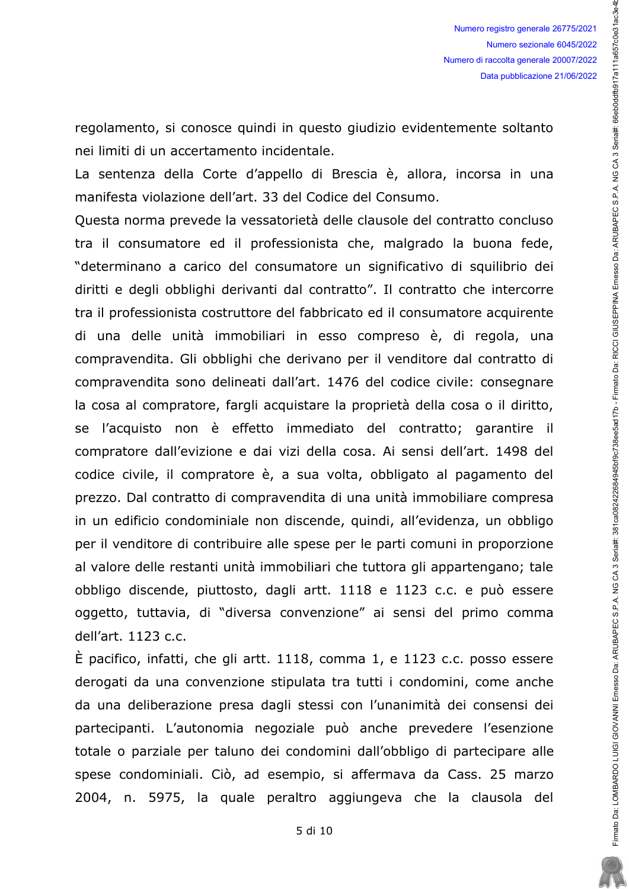regolamento, si conosce quindi in questo giudizio evidentemente soltanto nei limiti di un accertamento incidentale.

La sentenza della Corte d'appello di Brescia è, allora, incorsa in una manifesta violazione dell'art. 33 del Codice del Consumo.

Questa norma prevede la vessatorietà delle clausole del contratto concluso tra il consumatore ed il professionista che, malgrado la buona fede, "determinano a carico del consumatore un significativo di squilibrio dei diritti e degli obblighi derivanti dal contratto". Il contratto che intercorre tra il professionista costruttore del fabbricato ed il consumatore acquirente di una delle unità immobiliari in esso compreso è, di regola, una compravendita. Gli obblighi che derivano per il venditore dal contratto di compravendita sono delineati dall'art. 1476 del codice civile: consegnare la cosa al compratore, fargli acquistare la proprietà della cosa o il diritto, se l'acquisto non è effetto immediato del contratto; garantire il compratore dall'evizione e dai vizi della cosa. Ai sensi dell'art. 1498 del codice civile, il compratore è, a sua volta, obbligato al pagamento del prezzo. Dal contratto di compravendita di una unità immobiliare compresa in un edificio condominiale non discende, quindi, all'evidenza, un obbligo per il venditore di contribuire alle spese per le parti comuni in proporzione al valore delle restanti unità immobiliari che tuttora gli appartengano; tale obbligo discende, piuttosto, dagli artt. 1118 e 1123 c.c. e può essere oggetto, tuttavia, di "diversa convenzione" ai sensi del primo comma dell'art. 1123 c.c.

 $\dot{E}$  pacifico, infatti, che gli artt. 1118, comma 1, e 1123 c.c. posso essere derogati da una convenzione stipulata tra tutti i condomini, come anche da una deliberazione presa dagli stessi con l'unanimità dei consensi dei partecipanti. L'autonomia negoziale può anche prevedere l'esenzione totale o parziale per taluno dei condomini dall'obbligo di partecipare alle spese condominiali. Ciò, ad esempio, si affermava da Cass. 25 marzo 2004, n. 5975, la quale peraltro aggiungeva che la clausola del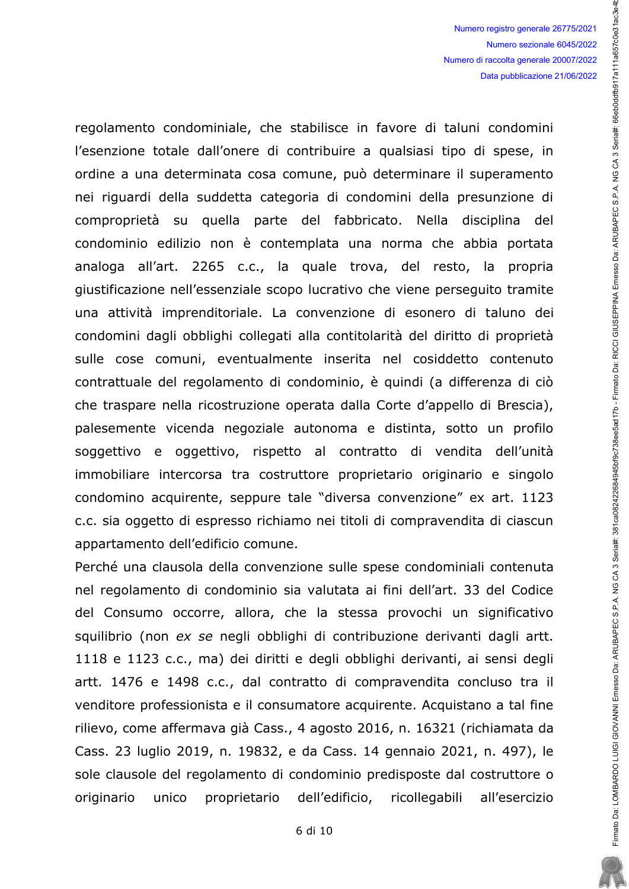regolamento condominiale, che stabilisce in favore di taluni condomini l'esenzione totale dall'onere di contribuire a qualsiasi tipo di spese, in ordine a una determinata cosa comune, può determinare il superamento nei riguardi della suddetta categoria di condomini della presunzione di comproprietà su quella parte del fabbricato. Nella disciplina del condominio edilizio non è contemplata una norma che abbia portata analoga all'art. 2265 c.c., la quale trova, del resto, la propria giustificazione nell'essenziale scopo lucrativo che viene perseguito tramite una attività imprenditoriale. La convenzione di esonero di taluno dei condomini dagli obblighi collegati alla contitolarità del diritto di proprietà sulle cose comuni, eventualmente inserita nel cosiddetto contenuto contrattuale del regolamento di condominio, è quindi (a differenza di ciò che traspare nella ricostruzione operata dalla Corte d'appello di Brescia), palesemente vicenda negoziale autonoma e distinta, sotto un profilo soggettivo e oggettivo, rispetto al contratto di vendita dell'unità immobiliare intercorsa tra costruttore proprietario originario e singolo condomino acquirente, seppure tale "diversa convenzione" ex art. 1123 c.c. sia oggetto di espresso richiamo nei titoli di compravendita di ciascun appartamento dell'edificio comune.

Perché una clausola della convenzione sulle spese condominiali contenuta nel regolamento di condominio sia valutata ai fini dell'art. 33 del Codice del Consumo occorre, allora, che la stessa provochi un significativo squilibrio (non ex se negli obblighi di contribuzione derivanti dagli artt. 1118 e 1123 c.c., ma) dei diritti e degli obblighi derivanti, ai sensi degli artt. 1476 e 1498 c.c., dal contratto di compravendita concluso tra il venditore professionista e il consumatore acquirente. Acquistano a tal fine rilievo, come affermava già Cass., 4 agosto 2016, n. 16321 (richiamata da Cass. 23 luglio 2019, n. 19832, e da Cass. 14 gennaio 2021, n. 497), le sole clausole del regolamento di condominio predisposte dal costruttore o proprietario dell'edificio, ricollegabili originario unico all'esercizio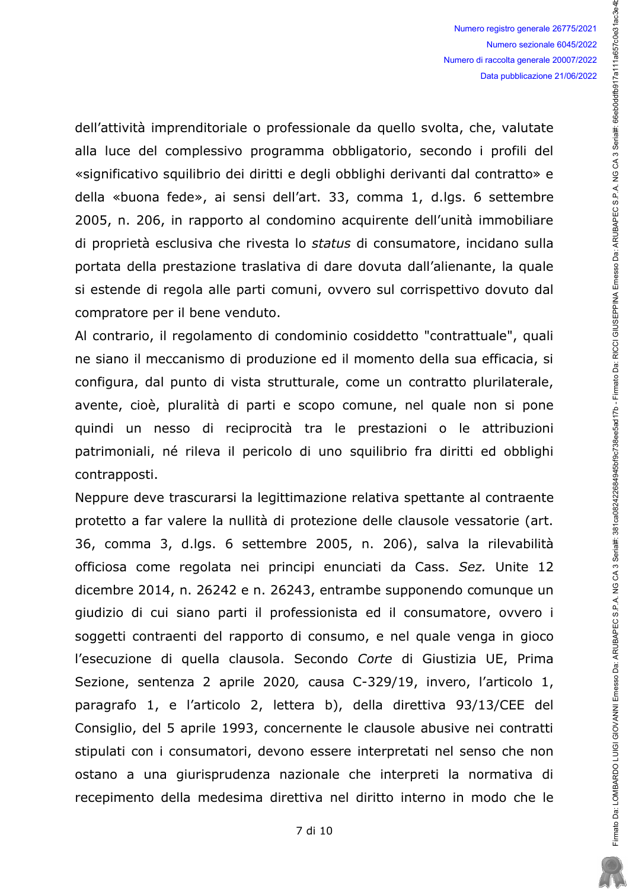dell'attività imprenditoriale o professionale da quello svolta, che, valutate alla luce del complessivo programma obbligatorio, secondo i profili del «significativo squilibrio dei diritti e degli obblighi derivanti dal contratto» e della «buona fede», ai sensi dell'art. 33, comma 1, d.lgs. 6 settembre 2005, n. 206, in rapporto al condomino acquirente dell'unità immobiliare di proprietà esclusiva che rivesta lo status di consumatore, incidano sulla portata della prestazione traslativa di dare dovuta dall'alienante, la quale si estende di regola alle parti comuni, ovvero sul corrispettivo dovuto dal compratore per il bene venduto.

Al contrario, il regolamento di condominio cosiddetto "contrattuale", quali ne siano il meccanismo di produzione ed il momento della sua efficacia, si configura, dal punto di vista strutturale, come un contratto plurilaterale, avente, cioè, pluralità di parti e scopo comune, nel quale non si pone quindi un nesso di reciprocità tra le prestazioni o le attribuzioni patrimoniali, né rileva il pericolo di uno squilibrio fra diritti ed obblighi contrapposti.

Neppure deve trascurarsi la legittimazione relativa spettante al contraente protetto a far valere la nullità di protezione delle clausole vessatorie (art. 36, comma 3, d.lgs. 6 settembre 2005, n. 206), salva la rilevabilità officiosa come regolata nei principi enunciati da Cass. Sez. Unite 12 dicembre 2014, n. 26242 e n. 26243, entrambe supponendo comunque un giudizio di cui siano parti il professionista ed il consumatore, ovvero i soggetti contraenti del rapporto di consumo, e nel quale venga in gioco l'esecuzione di quella clausola. Secondo Corte di Giustizia UE, Prima Sezione, sentenza 2 aprile 2020, causa C-329/19, invero, l'articolo 1, paragrafo 1, e l'articolo 2, lettera b), della direttiva 93/13/CEE del Consiglio, del 5 aprile 1993, concernente le clausole abusive nei contratti stipulati con i consumatori, devono essere interpretati nel senso che non ostano a una giurisprudenza nazionale che interpreti la normativa di recepimento della medesima direttiva nel diritto interno in modo che le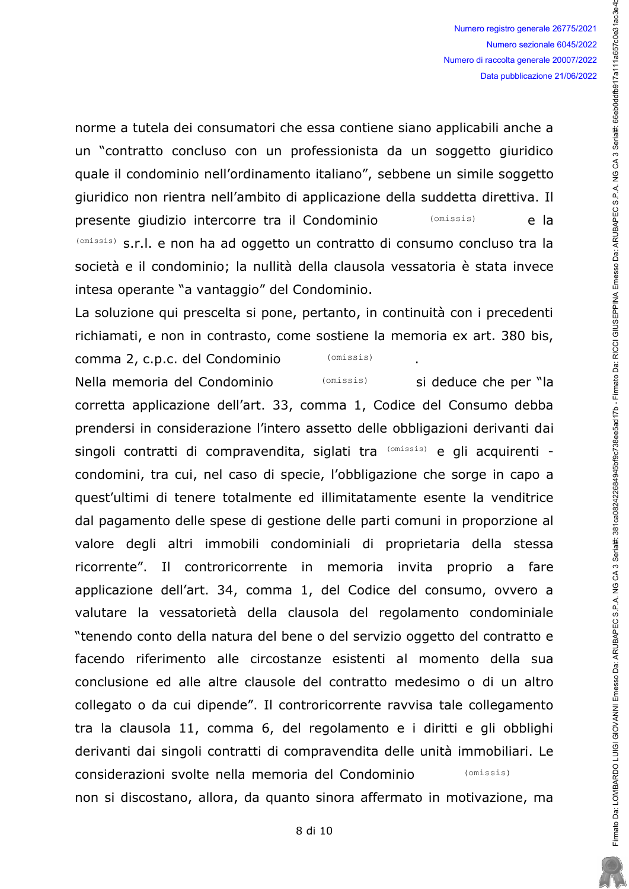Firmato Da: LOMBARDO LUIGI GIOVANNI Emesso Da: ARUBAPEC S.P.A. NG CA 3 Serial#, 381 ca082422684345bf9c32684345bf9c738ee5ad17b - Firmato Da: RICCI GIUSEPPINA Emesso Da: ARUBAPEC S.P.A. NG CA 3 Serial#: 66eb0ddfb917a111a657c

norme a tutela dei consumatori che essa contiene siano applicabili anche a un "contratto concluso con un professionista da un soggetto giuridico quale il condominio nell'ordinamento italiano", sebbene un simile soggetto giuridico non rientra nell'ambito di applicazione della suddetta direttiva. Il presente giudizio intercorre tra il Condominio (omissis) e la (omissis) s.r.l. e non ha ad oggetto un contratto di consumo concluso tra la società e il condominio; la nullità della clausola vessatoria è stata invece intesa operante "a vantaggio" del Condominio.

La soluzione qui prescelta si pone, pertanto, in continuità con i precedenti richiamati, e non in contrasto, come sostiene la memoria ex art. 380 bis,

comma 2, c.p.c. del Condominio  $(omissis)$ Nella memoria del Condominio (omissis)

si deduce che per "la corretta applicazione dell'art. 33, comma 1, Codice del Consumo debba prendersi in considerazione l'intero assetto delle obbligazioni derivanti dai singoli contratti di compravendita, siglati tra (omissis) e gli acquirenti condomini, tra cui, nel caso di specie, l'obbligazione che sorge in capo a quest'ultimi di tenere totalmente ed illimitatamente esente la venditrice dal pagamento delle spese di gestione delle parti comuni in proporzione al valore degli altri immobili condominiali di proprietaria della stessa ricorrente". Il controricorrente in memoria invita proprio a fare applicazione dell'art. 34, comma 1, del Codice del consumo, ovvero a valutare la vessatorietà della clausola del regolamento condominiale "tenendo conto della natura del bene o del servizio oggetto del contratto e facendo riferimento alle circostanze esistenti al momento della sua conclusione ed alle altre clausole del contratto medesimo o di un altro collegato o da cui dipende". Il controricorrente ravvisa tale collegamento tra la clausola 11, comma 6, del regolamento e i diritti e gli obblighi derivanti dai singoli contratti di compravendita delle unità immobiliari. Le considerazioni svolte nella memoria del Condominio  $(omissis)$ non si discostano, allora, da quanto sinora affermato in motivazione, ma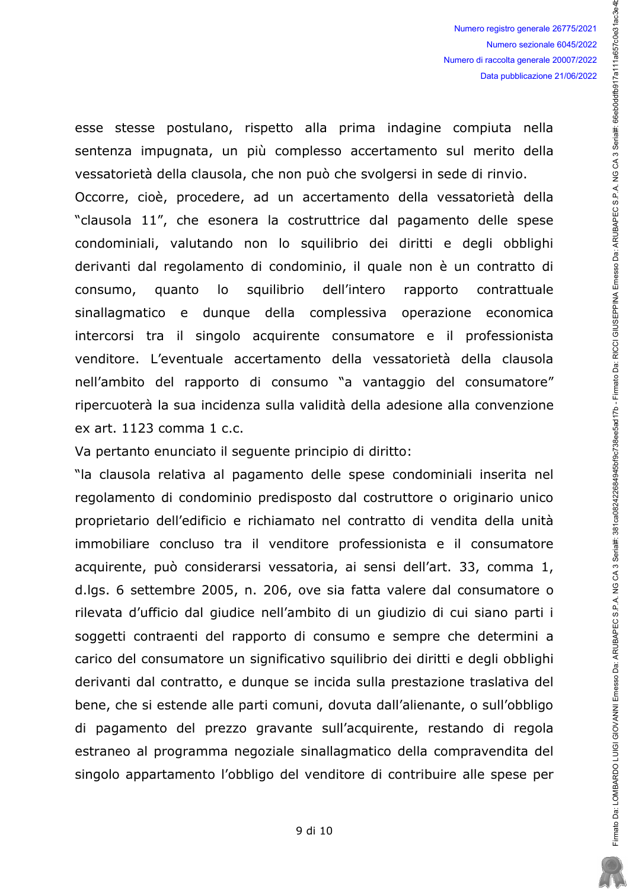esse stesse postulano, rispetto alla prima indagine compiuta nella sentenza impugnata, un più complesso accertamento sul merito della vessatorietà della clausola, che non può che svolgersi in sede di rinvio. Occorre, cioè, procedere, ad un accertamento della vessatorietà della "clausola 11", che esonera la costruttrice dal pagamento delle spese condominiali, valutando non lo squilibrio dei diritti e degli obblighi derivanti dal regolamento di condominio, il quale non è un contratto di squilibrio consumo, quanto lo dell'intero rapporto contrattuale sinallagmatico e dunque della complessiva operazione economica intercorsi tra il singolo acquirente consumatore e il professionista venditore. L'eventuale accertamento della vessatorietà della clausola nell'ambito del rapporto di consumo "a vantaggio del consumatore" ripercuoterà la sua incidenza sulla validità della adesione alla convenzione ex art. 1123 comma 1 c.c.

Va pertanto enunciato il seguente principio di diritto:

"la clausola relativa al pagamento delle spese condominiali inserita nel regolamento di condominio predisposto dal costruttore o originario unico proprietario dell'edificio e richiamato nel contratto di vendita della unità immobiliare concluso tra il venditore professionista e il consumatore acquirente, può considerarsi vessatoria, ai sensi dell'art. 33, comma 1, d.lgs. 6 settembre 2005, n. 206, ove sia fatta valere dal consumatore o rilevata d'ufficio dal giudice nell'ambito di un giudizio di cui siano parti i soggetti contraenti del rapporto di consumo e sempre che determini a carico del consumatore un significativo squilibrio dei diritti e degli obblighi derivanti dal contratto, e dunque se incida sulla prestazione traslativa del bene, che si estende alle parti comuni, dovuta dall'alienante, o sull'obbligo di pagamento del prezzo gravante sull'acquirente, restando di regola estraneo al programma negoziale sinallagmatico della compravendita del singolo appartamento l'obbligo del venditore di contribuire alle spese per